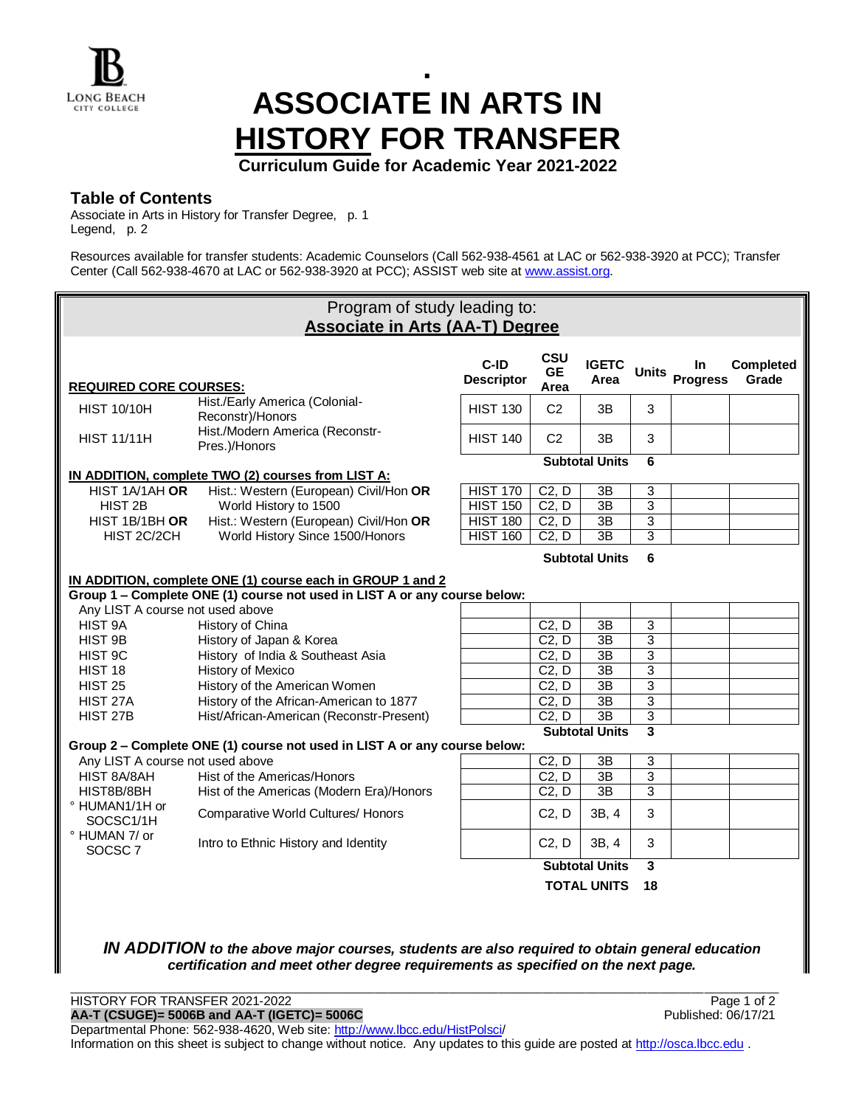# **. ASSOCIATE IN ARTS IN HISTORY FOR TRANSFER**

**Curriculum Guide for Academic Year 2021-2022**

## **Table of Contents**

Associate in Arts in History for Transfer Degree, p. 1 Legend, p. 2

Resources available for transfer students: Academic Counselors (Call 562-938-4561 at LAC or 562-938-3920 at PCC); Transfer Center (Call 562-938-4670 at LAC or 562-938-3920 at PCC); ASSIST web site a[t www.assist.org.](http://www.assist.org/)



*IN ADDITION to the above major courses, students are also required to obtain general education certification and meet other degree requirements as specified on the next page.*

\_\_\_\_\_\_\_\_\_\_\_\_\_\_\_\_\_\_\_\_\_\_\_\_\_\_\_\_\_\_\_\_\_\_\_\_\_\_\_\_\_\_\_\_\_\_\_\_\_\_\_\_\_\_\_\_\_\_\_\_\_\_\_\_\_\_\_\_\_\_\_\_\_\_\_\_\_\_\_\_\_\_\_\_\_\_\_\_\_\_\_\_\_\_\_\_\_\_\_\_\_\_\_\_\_\_\_\_\_\_\_\_\_\_ HISTORY FOR TRANSFER 2021-2022<br> **AA-T (CSUGE)= 5006B and AA-T (IGETC)= 5006C**<br>
Published: 06/17/21 **AA-T (CSUGE)= 5006B and AA-T (IGETC)= 5006C** Departmental Phone: 562-938-4620, Web site: [http://www.lbcc.edu/HistPolsci/](http://www.lbcc.edu/HistPolsci) Information on this sheet is subject to change without notice. Any updates to this quide are posted a[t http://osca.lbcc.edu](http://osca.lbcc.edu/).